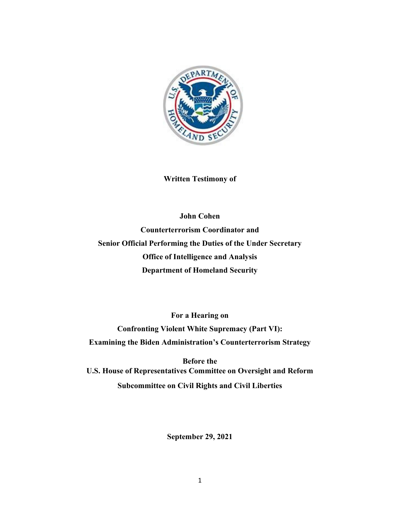

**Written Testimony of**

**John Cohen Counterterrorism Coordinator and Senior Official Performing the Duties of the Under Secretary Office of Intelligence and Analysis Department of Homeland Security**

**For a Hearing on Confronting Violent White Supremacy (Part VI): Examining the Biden Administration's Counterterrorism Strategy**

**Before the U.S. House of Representatives Committee on Oversight and Reform Subcommittee on Civil Rights and Civil Liberties**

**September 29, 2021**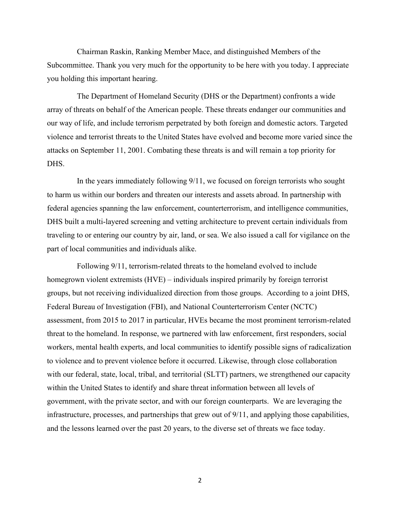Chairman Raskin, Ranking Member Mace, and distinguished Members of the Subcommittee. Thank you very much for the opportunity to be here with you today. I appreciate you holding this important hearing.

The Department of Homeland Security (DHS or the Department) confronts a wide array of threats on behalf of the American people. These threats endanger our communities and our way of life, and include terrorism perpetrated by both foreign and domestic actors. Targeted violence and terrorist threats to the United States have evolved and become more varied since the attacks on September 11, 2001. Combating these threats is and will remain a top priority for DHS.

In the years immediately following 9/11, we focused on foreign terrorists who sought to harm us within our borders and threaten our interests and assets abroad. In partnership with federal agencies spanning the law enforcement, counterterrorism, and intelligence communities, DHS built a multi-layered screening and vetting architecture to prevent certain individuals from traveling to or entering our country by air, land, or sea. We also issued a call for vigilance on the part of local communities and individuals alike.

Following 9/11, terrorism-related threats to the homeland evolved to include homegrown violent extremists (HVE) – individuals inspired primarily by foreign terrorist groups, but not receiving individualized direction from those groups. According to a joint DHS, Federal Bureau of Investigation (FBI), and National Counterterrorism Center (NCTC) assessment, from 2015 to 2017 in particular, HVEs became the most prominent terrorism-related threat to the homeland. In response, we partnered with law enforcement, first responders, social workers, mental health experts, and local communities to identify possible signs of radicalization to violence and to prevent violence before it occurred. Likewise, through close collaboration with our federal, state, local, tribal, and territorial (SLTT) partners, we strengthened our capacity within the United States to identify and share threat information between all levels of government, with the private sector, and with our foreign counterparts. We are leveraging the infrastructure, processes, and partnerships that grew out of 9/11, and applying those capabilities, and the lessons learned over the past 20 years, to the diverse set of threats we face today.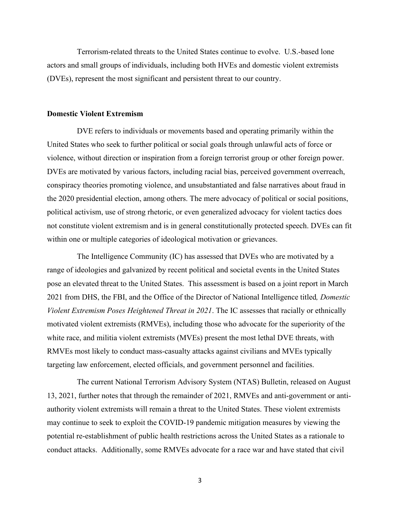Terrorism-related threats to the United States continue to evolve. U.S.-based lone actors and small groups of individuals, including both HVEs and domestic violent extremists (DVEs), represent the most significant and persistent threat to our country.

#### **Domestic Violent Extremism**

DVE refers to individuals or movements based and operating primarily within the United States who seek to further political or social goals through unlawful acts of force or violence, without direction or inspiration from a foreign terrorist group or other foreign power. DVEs are motivated by various factors, including racial bias, perceived government overreach, conspiracy theories promoting violence, and unsubstantiated and false narratives about fraud in the 2020 presidential election, among others. The mere advocacy of political or social positions, political activism, use of strong rhetoric, or even generalized advocacy for violent tactics does not constitute violent extremism and is in general constitutionally protected speech. DVEs can fit within one or multiple categories of ideological motivation or grievances.

The Intelligence Community (IC) has assessed that DVEs who are motivated by a range of ideologies and galvanized by recent political and societal events in the United States pose an elevated threat to the United States. This assessment is based on a joint report in March 2021 from DHS, the FBI, and the Office of the Director of National Intelligence titled*, Domestic Violent Extremism Poses Heightened Threat in 2021*. The IC assesses that racially or ethnically motivated violent extremists (RMVEs), including those who advocate for the superiority of the white race, and militia violent extremists (MVEs) present the most lethal DVE threats, with RMVEs most likely to conduct mass-casualty attacks against civilians and MVEs typically targeting law enforcement, elected officials, and government personnel and facilities.

The current National Terrorism Advisory System (NTAS) Bulletin, released on August 13, 2021, further notes that through the remainder of 2021, RMVEs and anti-government or antiauthority violent extremists will remain a threat to the United States. These violent extremists may continue to seek to exploit the COVID-19 pandemic mitigation measures by viewing the potential re-establishment of public health restrictions across the United States as a rationale to conduct attacks. Additionally, some RMVEs advocate for a race war and have stated that civil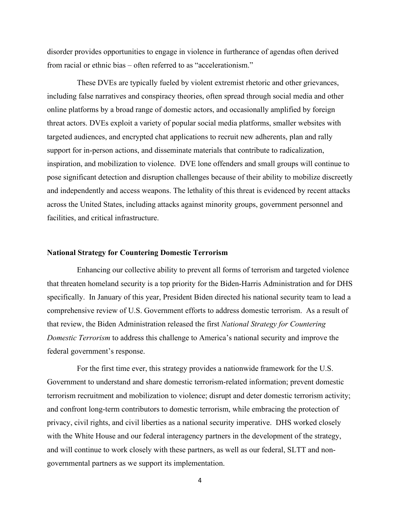disorder provides opportunities to engage in violence in furtherance of agendas often derived from racial or ethnic bias – often referred to as "accelerationism."

These DVEs are typically fueled by violent extremist rhetoric and other grievances, including false narratives and conspiracy theories, often spread through social media and other online platforms by a broad range of domestic actors, and occasionally amplified by foreign threat actors. DVEs exploit a variety of popular social media platforms, smaller websites with targeted audiences, and encrypted chat applications to recruit new adherents, plan and rally support for in-person actions, and disseminate materials that contribute to radicalization, inspiration, and mobilization to violence. DVE lone offenders and small groups will continue to pose significant detection and disruption challenges because of their ability to mobilize discreetly and independently and access weapons. The lethality of this threat is evidenced by recent attacks across the United States, including attacks against minority groups, government personnel and facilities, and critical infrastructure.

### **National Strategy for Countering Domestic Terrorism**

Enhancing our collective ability to prevent all forms of terrorism and targeted violence that threaten homeland security is a top priority for the Biden-Harris Administration and for DHS specifically. In January of this year, President Biden directed his national security team to lead a comprehensive review of U.S. Government efforts to address domestic terrorism. As a result of that review, the Biden Administration released the first *National Strategy for Countering Domestic Terrorism* to address this challenge to America's national security and improve the federal government's response.

For the first time ever, this strategy provides a nationwide framework for the U.S. Government to understand and share domestic terrorism-related information; prevent domestic terrorism recruitment and mobilization to violence; disrupt and deter domestic terrorism activity; and confront long-term contributors to domestic terrorism, while embracing the protection of privacy, civil rights, and civil liberties as a national security imperative. DHS worked closely with the White House and our federal interagency partners in the development of the strategy, and will continue to work closely with these partners, as well as our federal, SLTT and nongovernmental partners as we support its implementation.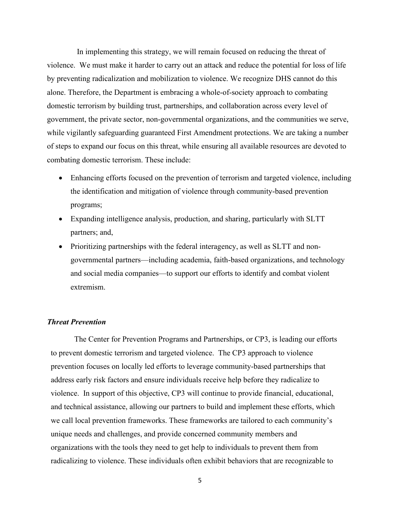In implementing this strategy, we will remain focused on reducing the threat of violence. We must make it harder to carry out an attack and reduce the potential for loss of life by preventing radicalization and mobilization to violence. We recognize DHS cannot do this alone. Therefore, the Department is embracing a whole-of-society approach to combating domestic terrorism by building trust, partnerships, and collaboration across every level of government, the private sector, non-governmental organizations, and the communities we serve, while vigilantly safeguarding guaranteed First Amendment protections. We are taking a number of steps to expand our focus on this threat, while ensuring all available resources are devoted to combating domestic terrorism. These include:

- Enhancing efforts focused on the prevention of terrorism and targeted violence, including the identification and mitigation of violence through community-based prevention programs;
- Expanding intelligence analysis, production, and sharing, particularly with SLTT partners; and,
- Prioritizing partnerships with the federal interagency, as well as SLTT and nongovernmental partners—including academia, faith-based organizations, and technology and social media companies—to support our efforts to identify and combat violent extremism.

### *Threat Prevention*

The Center for Prevention Programs and Partnerships, or CP3, is leading our efforts to prevent domestic terrorism and targeted violence. The CP3 approach to violence prevention focuses on locally led efforts to leverage community-based partnerships that address early risk factors and ensure individuals receive help before they radicalize to violence. In support of this objective, CP3 will continue to provide financial, educational, and technical assistance, allowing our partners to build and implement these efforts, which we call local prevention frameworks. These frameworks are tailored to each community's unique needs and challenges, and provide concerned community members and organizations with the tools they need to get help to individuals to prevent them from radicalizing to violence. These individuals often exhibit behaviors that are recognizable to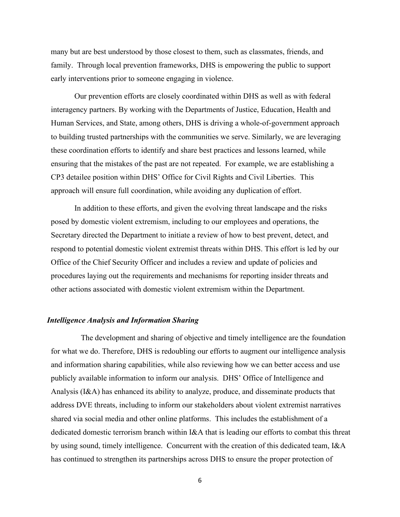many but are best understood by those closest to them, such as classmates, friends, and family. Through local prevention frameworks, DHS is empowering the public to support early interventions prior to someone engaging in violence.

Our prevention efforts are closely coordinated within DHS as well as with federal interagency partners. By working with the Departments of Justice, Education, Health and Human Services, and State, among others, DHS is driving a whole-of-government approach to building trusted partnerships with the communities we serve. Similarly, we are leveraging these coordination efforts to identify and share best practices and lessons learned, while ensuring that the mistakes of the past are not repeated. For example, we are establishing a CP3 detailee position within DHS' Office for Civil Rights and Civil Liberties. This approach will ensure full coordination, while avoiding any duplication of effort.

In addition to these efforts, and given the evolving threat landscape and the risks posed by domestic violent extremism, including to our employees and operations, the Secretary directed the Department to initiate a review of how to best prevent, detect, and respond to potential domestic violent extremist threats within DHS. This effort is led by our Office of the Chief Security Officer and includes a review and update of policies and procedures laying out the requirements and mechanisms for reporting insider threats and other actions associated with domestic violent extremism within the Department.

### *Intelligence Analysis and Information Sharing*

The development and sharing of objective and timely intelligence are the foundation for what we do. Therefore, DHS is redoubling our efforts to augment our intelligence analysis and information sharing capabilities, while also reviewing how we can better access and use publicly available information to inform our analysis. DHS' Office of Intelligence and Analysis (I&A) has enhanced its ability to analyze, produce, and disseminate products that address DVE threats, including to inform our stakeholders about violent extremist narratives shared via social media and other online platforms. This includes the establishment of a dedicated domestic terrorism branch within I&A that is leading our efforts to combat this threat by using sound, timely intelligence. Concurrent with the creation of this dedicated team, I&A has continued to strengthen its partnerships across DHS to ensure the proper protection of

<sup>6</sup>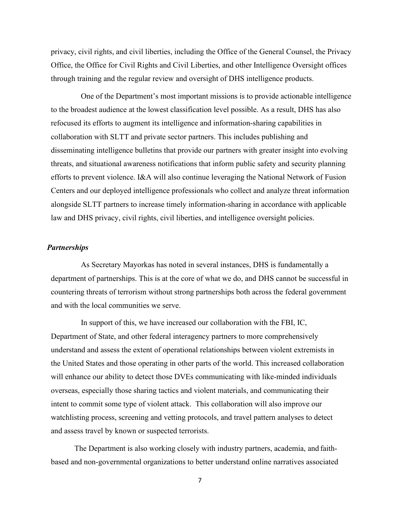privacy, civil rights, and civil liberties, including the Office of the General Counsel, the Privacy Office, the Office for Civil Rights and Civil Liberties, and other Intelligence Oversight offices through training and the regular review and oversight of DHS intelligence products.

One of the Department's most important missions is to provide actionable intelligence to the broadest audience at the lowest classification level possible. As a result, DHS has also refocused its efforts to augment its intelligence and information-sharing capabilities in collaboration with SLTT and private sector partners. This includes publishing and disseminating intelligence bulletins that provide our partners with greater insight into evolving threats, and situational awareness notifications that inform public safety and security planning efforts to prevent violence. I&A will also continue leveraging the National Network of Fusion Centers and our deployed intelligence professionals who collect and analyze threat information alongside SLTT partners to increase timely information-sharing in accordance with applicable law and DHS privacy, civil rights, civil liberties, and intelligence oversight policies.

## *Partnerships*

As Secretary Mayorkas has noted in several instances, DHS is fundamentally a department of partnerships. This is at the core of what we do, and DHS cannot be successful in countering threats of terrorism without strong partnerships both across the federal government and with the local communities we serve.

In support of this, we have increased our collaboration with the FBI, IC, Department of State, and other federal interagency partners to more comprehensively understand and assess the extent of operational relationships between violent extremists in the United States and those operating in other parts of the world. This increased collaboration will enhance our ability to detect those DVEs communicating with like-minded individuals overseas, especially those sharing tactics and violent materials, and communicating their intent to commit some type of violent attack. This collaboration will also improve our watchlisting process, screening and vetting protocols, and travel pattern analyses to detect and assess travel by known or suspected terrorists.

The Department is also working closely with industry partners, academia, and faithbased and non-governmental organizations to better understand online narratives associated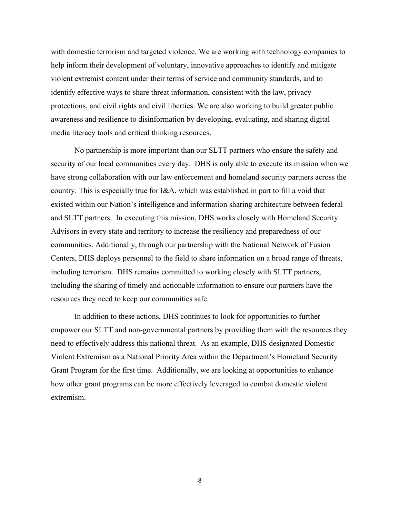with domestic terrorism and targeted violence. We are working with technology companies to help inform their development of voluntary, innovative approaches to identify and mitigate violent extremist content under their terms of service and community standards, and to identify effective ways to share threat information, consistent with the law, privacy protections, and civil rights and civil liberties. We are also working to build greater public awareness and resilience to disinformation by developing, evaluating, and sharing digital media literacy tools and critical thinking resources.

No partnership is more important than our SLTT partners who ensure the safety and security of our local communities every day. DHS is only able to execute its mission when we have strong collaboration with our law enforcement and homeland security partners across the country. This is especially true for I&A, which was established in part to fill a void that existed within our Nation's intelligence and information sharing architecture between federal and SLTT partners. In executing this mission, DHS works closely with Homeland Security Advisors in every state and territory to increase the resiliency and preparedness of our communities. Additionally, through our partnership with the National Network of Fusion Centers, DHS deploys personnel to the field to share information on a broad range of threats, including terrorism. DHS remains committed to working closely with SLTT partners, including the sharing of timely and actionable information to ensure our partners have the resources they need to keep our communities safe.

In addition to these actions, DHS continues to look for opportunities to further empower our SLTT and non-governmental partners by providing them with the resources they need to effectively address this national threat. As an example, DHS designated Domestic Violent Extremism as a National Priority Area within the Department's Homeland Security Grant Program for the first time. Additionally, we are looking at opportunities to enhance how other grant programs can be more effectively leveraged to combat domestic violent extremism.